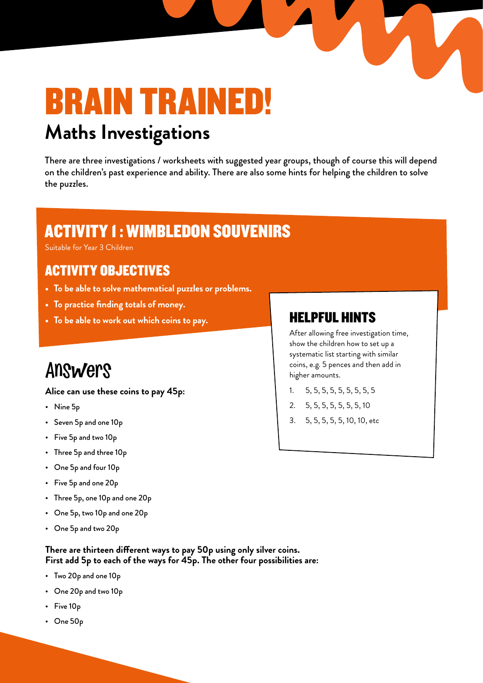# BRAIN TRAINED! **Maths Investigations**

There are three investigations / worksheets with suggested year groups, though of course this will depend on the children's past experience and ability. There are also some hints for helping the children to solve the puzzles.

### ACTIVITY 1 : WIMBLEDON SOUVENIRS

Suitable for Year 3 Children

### ACTIVITY OBJECTIVES

- **• To be able to solve mathematical puzzles or problems.**
- **• To practice finding totals of money.**
- To be able to work out which coins to pay. **HELPFUL HINTS**

## Answers

**Alice can use these coins to pay 45p:**

- Nine 5p
- Seven 5p and one 10p
- Five 5p and two 10p
- Three 5p and three 10p
- One 5p and four 10p
- Five 5p and one 20p
- Three 5p, one 10p and one 20p
- One 5p, two 10p and one 20p
- One 5p and two 20p

**There are thirteen different ways to pay 50p using only silver coins. First add 5p to each of the ways for 45p. The other four possibilities are:**

- Two 20p and one 10p
- One 20p and two 10p
- Five 10p
- One 50p

After allowing free investigation time, show the children how to set up a systematic list starting with similar coins, e.g. 5 pences and then add in higher amounts.

- 1. 5, 5, 5, 5, 5, 5, 5, 5, 5
- 2. 5, 5, 5, 5, 5, 5, 5, 10
- 3. 5, 5, 5, 5, 5, 10, 10, etc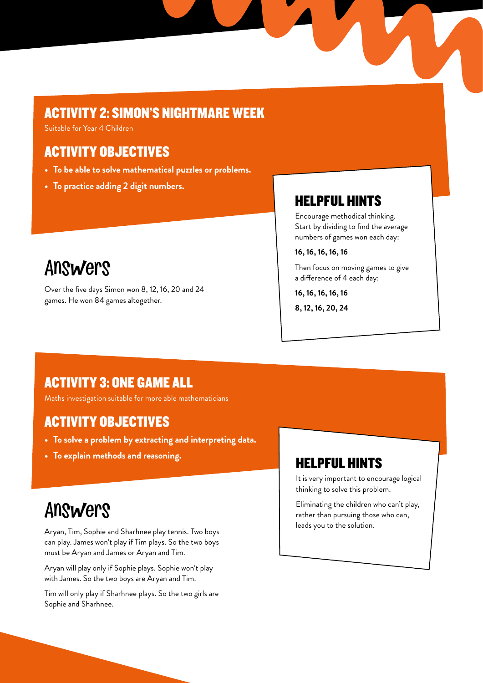#### ACTIVITY 2: SIMON'S NIGHTMARE WEEK

Suitable for Year 4 Children

#### ACTIVITY OBJECTIVES

- **• To be able to solve mathematical puzzles or problems.**
- **• To practice adding 2 digit numbers.**

## Answers

Over the five days Simon won 8, 12, 16, 20 and 24 games. He won 84 games altogether.

#### HELPFUL HINTS

Encourage methodical thinking. Start by dividing to find the average numbers of games won each day:

**16, 16, 16, 16, 16** 

Then focus on moving games to give a difference of 4 each day:

**16, 16, 16, 16, 16**

**8, 12, 16, 20, 24**

#### ACTIVITY 3: ONE GAME ALL

Maths investigation suitable for more able mathematicians

#### ACTIVITY OBJECTIVES

- **• To solve a problem by extracting and interpreting data.**
- **• To explain methods and reasoning.**

## Answers

Aryan, Tim, Sophie and Sharhnee play tennis. Two boys can play. James won't play if Tim plays. So the two boys must be Aryan and James or Aryan and Tim.

Aryan will play only if Sophie plays. Sophie won't play with James. So the two boys are Aryan and Tim.

Tim will only play if Sharhnee plays. So the two girls are Sophie and Sharhnee.

#### HELPFUL HINTS

It is very important to encourage logical thinking to solve this problem.

Eliminating the children who can't play, rather than pursuing those who can, leads you to the solution.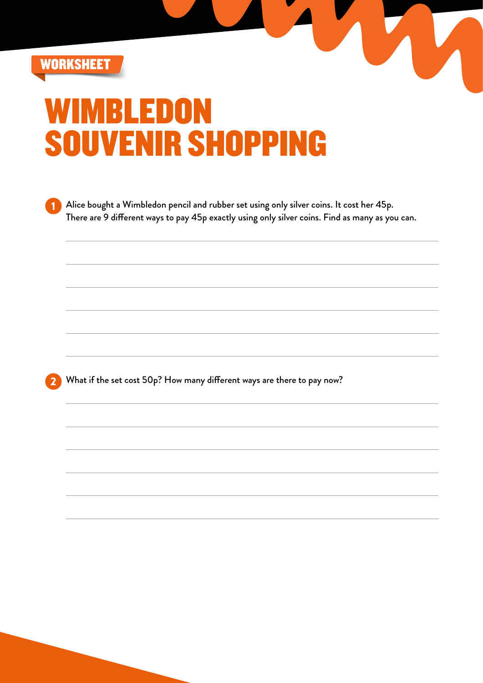

# **MBLEDO** SOUVENIR SHOPPING

1 Alice bought a Wimbledon pencil and rubber set using only silver coins. It cost her 45p. There are 9 different ways to pay 45p exactly using only silver coins. Find as many as you can.

U

What if the set cost 50p? How many different ways are there to pay now?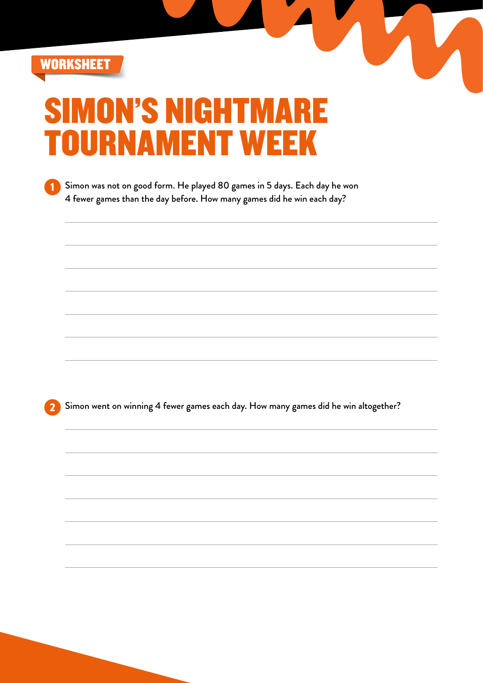

# ON'S NIGHTMARE DURNAMENT WEE

1 Simon was not on good form. He played 80 games in 5 days. Each day he won 4 fewer games than the day before. How many games did he win each day?

2 Simon went on winning 4 fewer games each day. How many games did he win altogether?